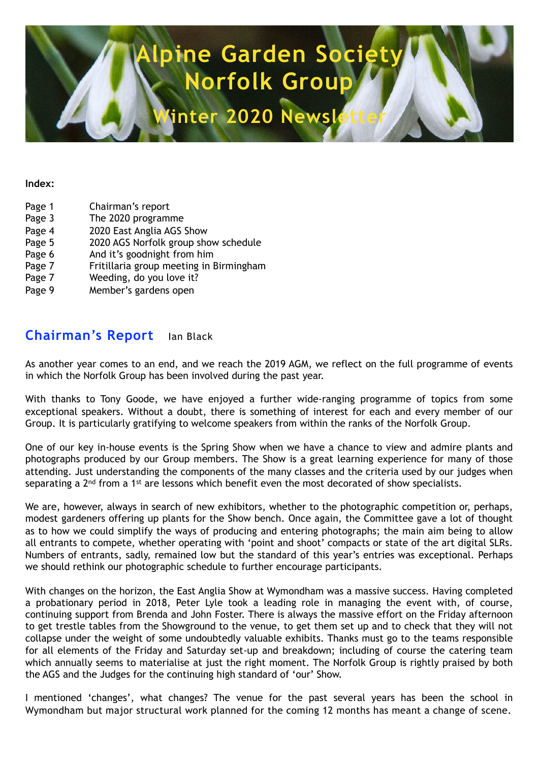# **Alpine Garden Soci Norfolk Group**

**Winter 2020 Newsletter** 

#### **Index:**

- Page 1 Chairman's report Page 3 The 2020 programme Page 4 2020 East Anglia AGS Show Page 5 2020 AGS Norfolk group show schedule Page 6 And it's goodnight from him Page 7 Fritillaria group meeting in Birmingham Page 7 Weeding, do you love it?
- Page 9 Member's gardens open

## **Chairman's Report** Ian Black

As another year comes to an end, and we reach the 2019 AGM, we reflect on the full programme of events in which the Norfolk Group has been involved during the past year.

With thanks to Tony Goode, we have enjoyed a further wide-ranging programme of topics from some exceptional speakers. Without a doubt, there is something of interest for each and every member of our Group. It is particularly gratifying to welcome speakers from within the ranks of the Norfolk Group.

One of our key in-house events is the Spring Show when we have a chance to view and admire plants and photographs produced by our Group members. The Show is a great learning experience for many of those attending. Just understanding the components of the many classes and the criteria used by our judges when separating a 2<sup>nd</sup> from a 1<sup>st</sup> are lessons which benefit even the most decorated of show specialists.

We are, however, always in search of new exhibitors, whether to the photographic competition or, perhaps, modest gardeners offering up plants for the Show bench. Once again, the Committee gave a lot of thought as to how we could simplify the ways of producing and entering photographs; the main aim being to allow all entrants to compete, whether operating with 'point and shoot' compacts or state of the art digital SLRs. Numbers of entrants, sadly, remained low but the standard of this year's entries was exceptional. Perhaps we should rethink our photographic schedule to further encourage participants.

With changes on the horizon, the East Anglia Show at Wymondham was a massive success. Having completed a probationary period in 2018, Peter Lyle took a leading role in managing the event with, of course, continuing support from Brenda and John Foster. There is always the massive effort on the Friday afternoon to get trestle tables from the Showground to the venue, to get them set up and to check that they will not collapse under the weight of some undoubtedly valuable exhibits. Thanks must go to the teams responsible for all elements of the Friday and Saturday set-up and breakdown; including of course the catering team which annually seems to materialise at just the right moment. The Norfolk Group is rightly praised by both the AGS and the Judges for the continuing high standard of 'our' Show.

I mentioned 'changes', what changes? The venue for the past several years has been the school in Wymondham but major structural work planned for the coming 12 months has meant a change of scene.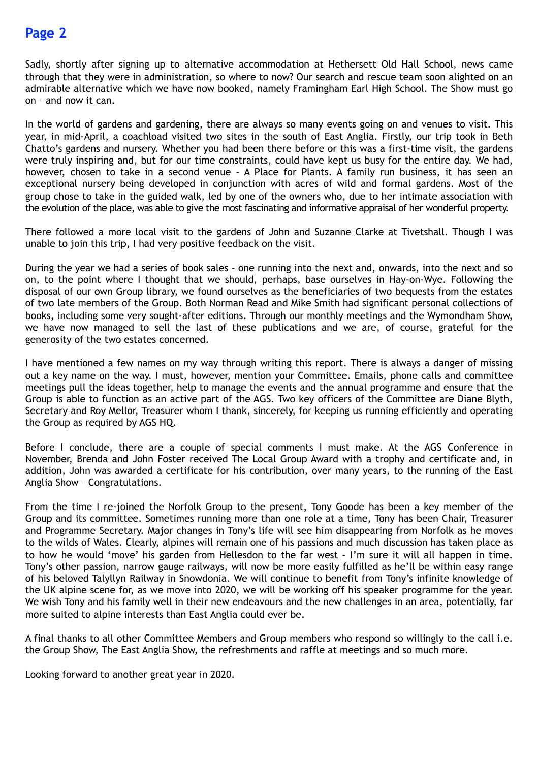Sadly, shortly after signing up to alternative accommodation at Hethersett Old Hall School, news came through that they were in administration, so where to now? Our search and rescue team soon alighted on an admirable alternative which we have now booked, namely Framingham Earl High School. The Show must go on – and now it can.

In the world of gardens and gardening, there are always so many events going on and venues to visit. This year, in mid-April, a coachload visited two sites in the south of East Anglia. Firstly, our trip took in Beth Chatto's gardens and nursery. Whether you had been there before or this was a first-time visit, the gardens were truly inspiring and, but for our time constraints, could have kept us busy for the entire day. We had, however, chosen to take in a second venue - A Place for Plants. A family run business, it has seen an exceptional nursery being developed in conjunction with acres of wild and formal gardens. Most of the group chose to take in the guided walk, led by one of the owners who, due to her intimate association with the evolution of the place, was able to give the most fascinating and informative appraisal of her wonderful property.

There followed a more local visit to the gardens of John and Suzanne Clarke at Tivetshall. Though I was unable to join this trip, I had very positive feedback on the visit.

During the year we had a series of book sales – one running into the next and, onwards, into the next and so on, to the point where I thought that we should, perhaps, base ourselves in Hay-on-Wye. Following the disposal of our own Group library, we found ourselves as the beneficiaries of two bequests from the estates of two late members of the Group. Both Norman Read and Mike Smith had significant personal collections of books, including some very sought-after editions. Through our monthly meetings and the Wymondham Show, we have now managed to sell the last of these publications and we are, of course, grateful for the generosity of the two estates concerned.

I have mentioned a few names on my way through writing this report. There is always a danger of missing out a key name on the way. I must, however, mention your Committee. Emails, phone calls and committee meetings pull the ideas together, help to manage the events and the annual programme and ensure that the Group is able to function as an active part of the AGS. Two key officers of the Committee are Diane Blyth, Secretary and Roy Mellor, Treasurer whom I thank, sincerely, for keeping us running efficiently and operating the Group as required by AGS HQ.

Before I conclude, there are a couple of special comments I must make. At the AGS Conference in November, Brenda and John Foster received The Local Group Award with a trophy and certificate and, in addition, John was awarded a certificate for his contribution, over many years, to the running of the East Anglia Show – Congratulations.

From the time I re-joined the Norfolk Group to the present, Tony Goode has been a key member of the Group and its committee. Sometimes running more than one role at a time, Tony has been Chair, Treasurer and Programme Secretary. Major changes in Tony's life will see him disappearing from Norfolk as he moves to the wilds of Wales. Clearly, alpines will remain one of his passions and much discussion has taken place as to how he would 'move' his garden from Hellesdon to the far west – I'm sure it will all happen in time. Tony's other passion, narrow gauge railways, will now be more easily fulfilled as he'll be within easy range of his beloved Talyllyn Railway in Snowdonia. We will continue to benefit from Tony's infinite knowledge of the UK alpine scene for, as we move into 2020, we will be working off his speaker programme for the year. We wish Tony and his family well in their new endeavours and the new challenges in an area, potentially, far more suited to alpine interests than East Anglia could ever be.

A final thanks to all other Committee Members and Group members who respond so willingly to the call i.e. the Group Show, The East Anglia Show, the refreshments and raffle at meetings and so much more.

Looking forward to another great year in 2020.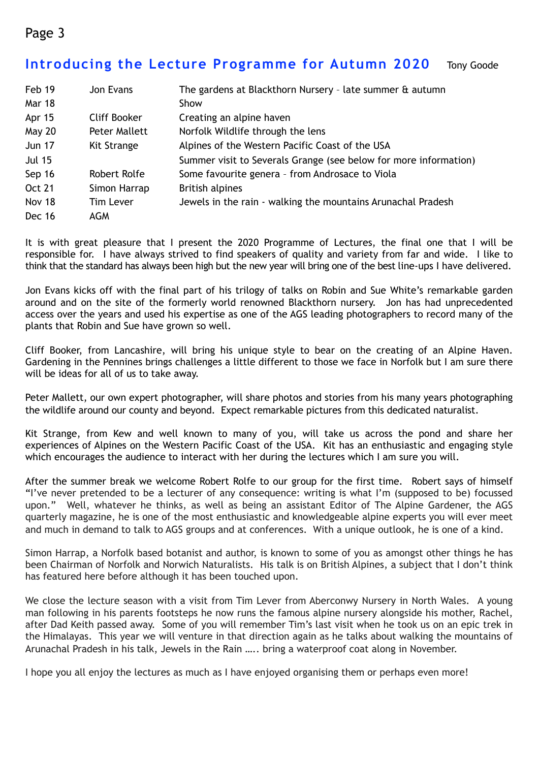## **Introducing the Lecture Programme for Autumn 2020** Tony Goode

| Feb 19        | Jon Evans        | The gardens at Blackthorn Nursery - late summer & autumn         |
|---------------|------------------|------------------------------------------------------------------|
| Mar 18        |                  | Show                                                             |
| Apr 15        | Cliff Booker     | Creating an alpine haven                                         |
| <b>May 20</b> | Peter Mallett    | Norfolk Wildlife through the lens                                |
| <b>Jun 17</b> | Kit Strange      | Alpines of the Western Pacific Coast of the USA                  |
| <b>Jul 15</b> |                  | Summer visit to Severals Grange (see below for more information) |
| Sep 16        | Robert Rolfe     | Some favourite genera - from Androsace to Viola                  |
| <b>Oct 21</b> | Simon Harrap     | <b>British alpines</b>                                           |
| Nov 18        | <b>Tim Lever</b> | Jewels in the rain - walking the mountains Arunachal Pradesh     |
| <b>Dec 16</b> | AGM              |                                                                  |

It is with great pleasure that I present the 2020 Programme of Lectures, the final one that I will be responsible for. I have always strived to find speakers of quality and variety from far and wide. I like to think that the standard has always been high but the new year will bring one of the best line-ups I have delivered.

Jon Evans kicks off with the final part of his trilogy of talks on Robin and Sue White's remarkable garden around and on the site of the formerly world renowned Blackthorn nursery. Jon has had unprecedented access over the years and used his expertise as one of the AGS leading photographers to record many of the plants that Robin and Sue have grown so well.

Cliff Booker, from Lancashire, will bring his unique style to bear on the creating of an Alpine Haven. Gardening in the Pennines brings challenges a little different to those we face in Norfolk but I am sure there will be ideas for all of us to take away.

Peter Mallett, our own expert photographer, will share photos and stories from his many years photographing the wildlife around our county and beyond. Expect remarkable pictures from this dedicated naturalist.

Kit Strange, from Kew and well known to many of you, will take us across the pond and share her experiences of Alpines on the Western Pacific Coast of the USA. Kit has an enthusiastic and engaging style which encourages the audience to interact with her during the lectures which I am sure you will.

After the summer break we welcome Robert Rolfe to our group for the first time. Robert says of himself "I've never pretended to be a lecturer of any consequence: writing is what I'm (supposed to be) focussed upon." Well, whatever he thinks, as well as being an assistant Editor of The Alpine Gardener, the AGS quarterly magazine, he is one of the most enthusiastic and knowledgeable alpine experts you will ever meet and much in demand to talk to AGS groups and at conferences. With a unique outlook, he is one of a kind.

Simon Harrap, a Norfolk based botanist and author, is known to some of you as amongst other things he has been Chairman of Norfolk and Norwich Naturalists. His talk is on British Alpines, a subject that I don't think has featured here before although it has been touched upon.

We close the lecture season with a visit from Tim Lever from Aberconwy Nursery in North Wales. A young man following in his parents footsteps he now runs the famous alpine nursery alongside his mother, Rachel, after Dad Keith passed away. Some of you will remember Tim's last visit when he took us on an epic trek in the Himalayas. This year we will venture in that direction again as he talks about walking the mountains of Arunachal Pradesh in his talk, Jewels in the Rain ….. bring a waterproof coat along in November.

I hope you all enjoy the lectures as much as I have enjoyed organising them or perhaps even more!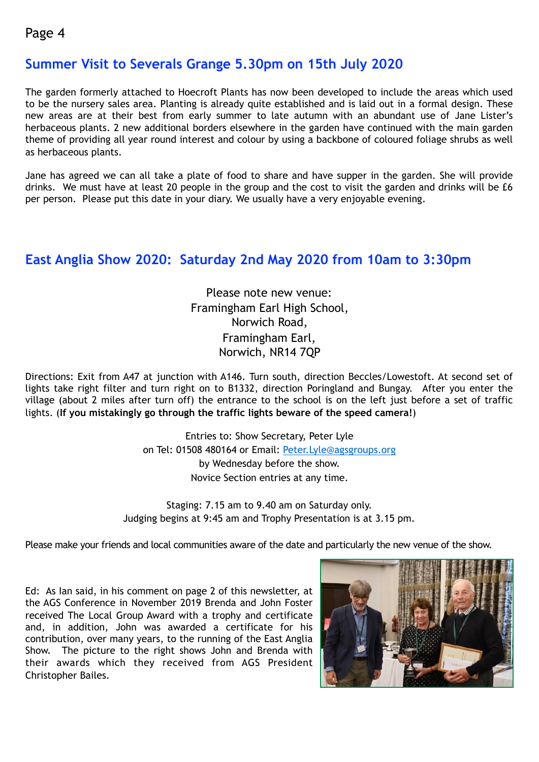# **Summer Visit to Severals Grange 5.30pm on 15th July 2020**

The garden formerly attached to Hoecroft Plants has now been developed to include the areas which used to be the nursery sales area. Planting is already quite established and is laid out in a formal design. These new areas are at their best from early summer to late autumn with an abundant use of Jane Lister's herbaceous plants. 2 new additional borders elsewhere in the garden have continued with the main garden theme of providing all year round interest and colour by using a backbone of coloured foliage shrubs as well as herbaceous plants.

Jane has agreed we can all take a plate of food to share and have supper in the garden. She will provide drinks. We must have at least 20 people in the group and the cost to visit the garden and drinks will be £6 per person. Please put this date in your diary. We usually have a very enjoyable evening.

# **East Anglia Show 2020: Saturday 2nd May 2020 from 10am to 3:30pm**

Please note new venue: Framingham Earl High School, Norwich Road, Framingham Earl, Norwich, NR14 7QP

Directions: Exit from A47 at junction with A146. Turn south, direction Beccles/Lowestoft. At second set of lights take right filter and turn right on to B1332, direction Poringland and Bungay. After you enter the village (about 2 miles after turn off) the entrance to the school is on the left just before a set of traffic lights. (**If you mistakingly go through the traffic lights beware of the speed camera!**)

> Entries to: Show Secretary, Peter Lyle on Tel: 01508 480164 or Email: [Peter.Lyle@agsgroups.org](mailto:Peter.Lyle@agsgroups.org) by Wednesday before the show. Novice Section entries at any time.

Staging: 7.15 am to 9.40 am on Saturday only. Judging begins at 9:45 am and Trophy Presentation is at 3.15 pm.

Please make your friends and local communities aware of the date and particularly the new venue of the show.

Ed: As Ian said, in his comment on page 2 of this newsletter, at the AGS Conference in November 2019 Brenda and John Foster received The Local Group Award with a trophy and certificate and, in addition, John was awarded a certificate for his contribution, over many years, to the running of the East Anglia Show. The picture to the right shows John and Brenda with their awards which they received from AGS President Christopher Bailes.

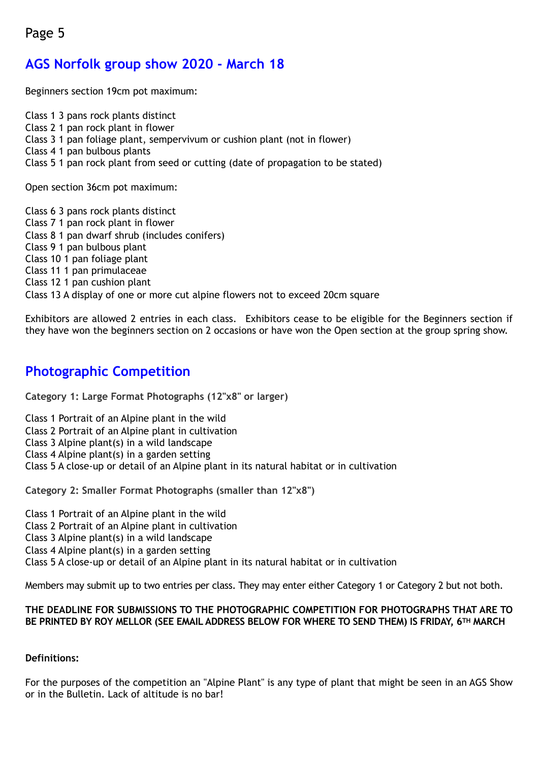# **AGS Norfolk group show 2020 - March 18**

Beginners section 19cm pot maximum:

Class 1 3 pans rock plants distinct Class 2 1 pan rock plant in flower Class 3 1 pan foliage plant, sempervivum or cushion plant (not in flower) Class 4 1 pan bulbous plants Class 5 1 pan rock plant from seed or cutting (date of propagation to be stated)

Open section 36cm pot maximum:

Class 6 3 pans rock plants distinct Class 7 1 pan rock plant in flower Class 8 1 pan dwarf shrub (includes conifers) Class 9 1 pan bulbous plant Class 10 1 pan foliage plant Class 11 1 pan primulaceae Class 12 1 pan cushion plant Class 13 A display of one or more cut alpine flowers not to exceed 20cm square

Exhibitors are allowed 2 entries in each class. Exhibitors cease to be eligible for the Beginners section if they have won the beginners section on 2 occasions or have won the Open section at the group spring show.

# **Photographic Competition**

**Category 1: Large Format Photographs (12"x8" or larger)**

Class 1 Portrait of an Alpine plant in the wild

Class 2 Portrait of an Alpine plant in cultivation

Class 3 Alpine plant(s) in a wild landscape

Class 4 Alpine plant(s) in a garden setting

Class 5 A close-up or detail of an Alpine plant in its natural habitat or in cultivation

**Category 2: Smaller Format Photographs (smaller than 12"x8")**

Class 1 Portrait of an Alpine plant in the wild

Class 2 Portrait of an Alpine plant in cultivation

Class 3 Alpine plant(s) in a wild landscape

Class 4 Alpine plant(s) in a garden setting

Class 5 A close-up or detail of an Alpine plant in its natural habitat or in cultivation

Members may submit up to two entries per class. They may enter either Category 1 or Category 2 but not both.

#### **THE DEADLINE FOR SUBMISSIONS TO THE PHOTOGRAPHIC COMPETITION FOR PHOTOGRAPHS THAT ARE TO BE PRINTED BY ROY MELLOR (SEE EMAIL ADDRESS BELOW FOR WHERE TO SEND THEM) IS FRIDAY, 6TH MARCH**

#### **Definitions:**

For the purposes of the competition an "Alpine Plant" is any type of plant that might be seen in an AGS Show or in the Bulletin. Lack of altitude is no bar!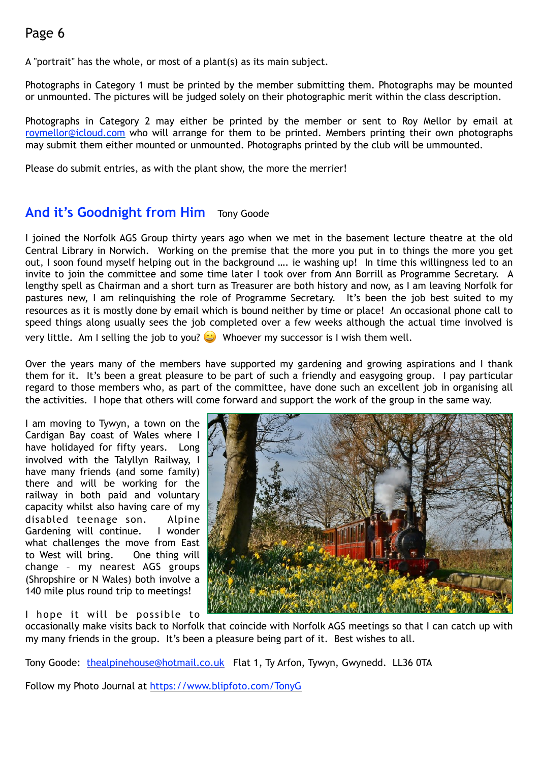A "portrait" has the whole, or most of a plant(s) as its main subject.

Photographs in Category 1 must be printed by the member submitting them. Photographs may be mounted or unmounted. The pictures will be judged solely on their photographic merit within the class description.

Photographs in Category 2 may either be printed by the member or sent to Roy Mellor by email at [roymellor@icloud.com](mailto:roymellor@icloud.com) who will arrange for them to be printed. Members printing their own photographs may submit them either mounted or unmounted. Photographs printed by the club will be ummounted.

Please do submit entries, as with the plant show, the more the merrier!

# **And it's Goodnight from Him** Tony Goode

I joined the Norfolk AGS Group thirty years ago when we met in the basement lecture theatre at the old Central Library in Norwich. Working on the premise that the more you put in to things the more you get out, I soon found myself helping out in the background …. ie washing up! In time this willingness led to an invite to join the committee and some time later I took over from Ann Borrill as Programme Secretary. A lengthy spell as Chairman and a short turn as Treasurer are both history and now, as I am leaving Norfolk for pastures new, I am relinquishing the role of Programme Secretary. It's been the job best suited to my resources as it is mostly done by email which is bound neither by time or place! An occasional phone call to speed things along usually sees the job completed over a few weeks although the actual time involved is very little. Am I selling the job to you?  $\bigcup$  Whoever my successor is I wish them well.

Over the years many of the members have supported my gardening and growing aspirations and I thank them for it. It's been a great pleasure to be part of such a friendly and easygoing group. I pay particular regard to those members who, as part of the committee, have done such an excellent job in organising all the activities. I hope that others will come forward and support the work of the group in the same way.

I am moving to Tywyn, a town on the Cardigan Bay coast of Wales where I have holidayed for fifty years. Long involved with the Talyllyn Railway, I have many friends (and some family) there and will be working for the railway in both paid and voluntary capacity whilst also having care of my disabled teenage son. Alpine Gardening will continue. I wonder what challenges the move from East to West will bring. One thing will change – my nearest AGS groups (Shropshire or N Wales) both involve a 140 mile plus round trip to meetings!



I hope it will be possible to

occasionally make visits back to Norfolk that coincide with Norfolk AGS meetings so that I can catch up with my many friends in the group. It's been a pleasure being part of it. Best wishes to all.

Tony Goode: [thealpinehouse@hotmail.co.uk](mailto:thealpinehouse@hotmail.co.uk) Flat 1, Ty Arfon, Tywyn, Gwynedd. LL36 0TA

Follow my Photo Journal at [https://www.blipfoto.com/TonyG](http://www.blipfoto.com/TonyG)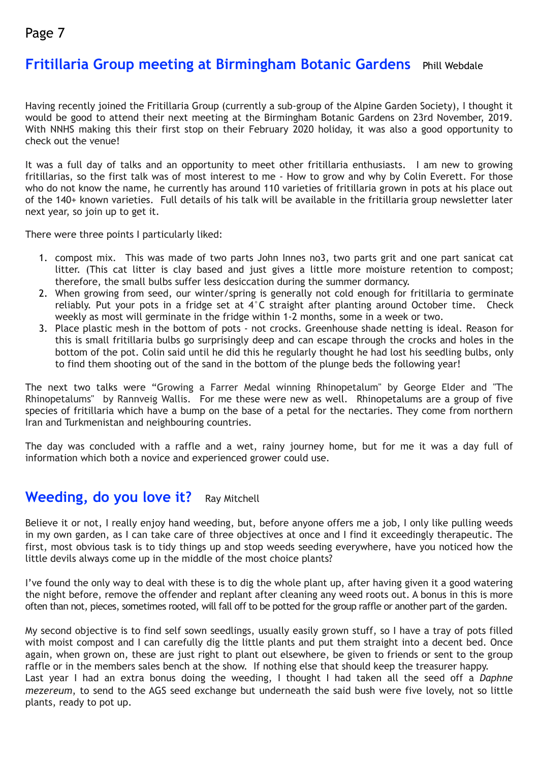# **Fritillaria Group meeting at Birmingham Botanic Gardens** Phill Webdale

Having recently joined the Fritillaria Group (currently a sub-group of the Alpine Garden Society), I thought it would be good to attend their next meeting at the Birmingham Botanic Gardens on 23rd November, 2019. With NNHS making this their first stop on their February 2020 holiday, it was also a good opportunity to check out the venue!

It was a full day of talks and an opportunity to meet other fritillaria enthusiasts. I am new to growing fritillarias, so the first talk was of most interest to me - How to grow and why by Colin Everett. For those who do not know the name, he currently has around 110 varieties of fritillaria grown in pots at his place out of the 140+ known varieties. Full details of his talk will be available in the fritillaria group newsletter later next year, so join up to get it.

There were three points I particularly liked:

- 1. compost mix. This was made of two parts John Innes no3, two parts grit and one part sanicat cat litter. (This cat litter is clay based and just gives a little more moisture retention to compost; therefore, the small bulbs suffer less desiccation during the summer dormancy.
- 2. When growing from seed, our winter/spring is generally not cold enough for fritillaria to germinate reliably. Put your pots in a fridge set at 4°C straight after planting around October time. Check weekly as most will germinate in the fridge within 1-2 months, some in a week or two.
- 3. Place plastic mesh in the bottom of pots not crocks. Greenhouse shade netting is ideal. Reason for this is small fritillaria bulbs go surprisingly deep and can escape through the crocks and holes in the bottom of the pot. Colin said until he did this he regularly thought he had lost his seedling bulbs, only to find them shooting out of the sand in the bottom of the plunge beds the following year!

The next two talks were "Growing a Farrer Medal winning Rhinopetalum" by George Elder and "The Rhinopetalums" by Rannveig Wallis. For me these were new as well. Rhinopetalums are a group of five species of fritillaria which have a bump on the base of a petal for the nectaries. They come from northern Iran and Turkmenistan and neighbouring countries.

The day was concluded with a raffle and a wet, rainy journey home, but for me it was a day full of information which both a novice and experienced grower could use.

## **Weeding, do you love it?** Ray Mitchell

Believe it or not, I really enjoy hand weeding, but, before anyone offers me a job, I only like pulling weeds in my own garden, as I can take care of three objectives at once and I find it exceedingly therapeutic. The first, most obvious task is to tidy things up and stop weeds seeding everywhere, have you noticed how the little devils always come up in the middle of the most choice plants?

I've found the only way to deal with these is to dig the whole plant up, after having given it a good watering the night before, remove the offender and replant after cleaning any weed roots out. A bonus in this is more often than not, pieces, sometimes rooted, will fall off to be potted for the group raffle or another part of the garden.

My second objective is to find self sown seedlings, usually easily grown stuff, so I have a tray of pots filled with moist compost and I can carefully dig the little plants and put them straight into a decent bed. Once again, when grown on, these are just right to plant out elsewhere, be given to friends or sent to the group raffle or in the members sales bench at the show. If nothing else that should keep the treasurer happy. Last year I had an extra bonus doing the weeding, I thought I had taken all the seed off a *Daphne mezereum*, to send to the AGS seed exchange but underneath the said bush were five lovely, not so little plants, ready to pot up.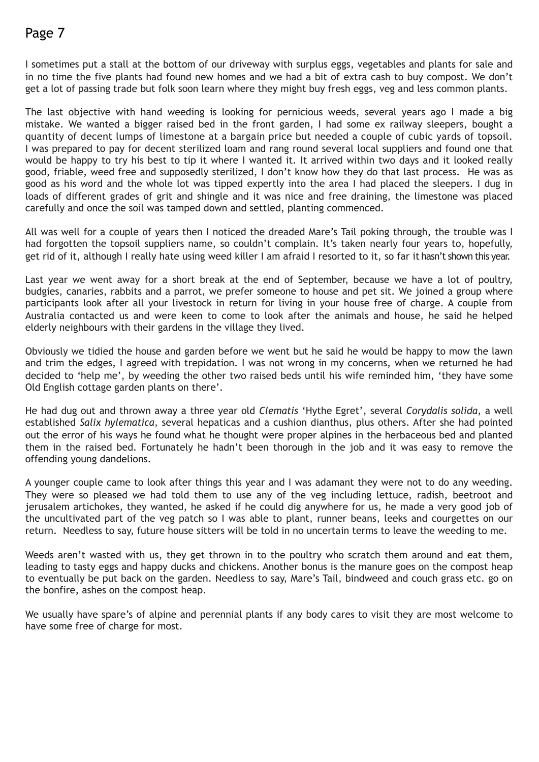I sometimes put a stall at the bottom of our driveway with surplus eggs, vegetables and plants for sale and in no time the five plants had found new homes and we had a bit of extra cash to buy compost. We don't get a lot of passing trade but folk soon learn where they might buy fresh eggs, veg and less common plants.

The last objective with hand weeding is looking for pernicious weeds, several years ago I made a big mistake. We wanted a bigger raised bed in the front garden, I had some ex railway sleepers, bought a quantity of decent lumps of limestone at a bargain price but needed a couple of cubic yards of topsoil. I was prepared to pay for decent sterilized loam and rang round several local suppliers and found one that would be happy to try his best to tip it where I wanted it. It arrived within two days and it looked really good, friable, weed free and supposedly sterilized, I don't know how they do that last process. He was as good as his word and the whole lot was tipped expertly into the area I had placed the sleepers. I dug in loads of different grades of grit and shingle and it was nice and free draining, the limestone was placed carefully and once the soil was tamped down and settled, planting commenced.

All was well for a couple of years then I noticed the dreaded Mare's Tail poking through, the trouble was I had forgotten the topsoil suppliers name, so couldn't complain. It's taken nearly four years to, hopefully, get rid of it, although I really hate using weed killer I am afraid I resorted to it, so far it hasn't shown this year.

Last year we went away for a short break at the end of September, because we have a lot of poultry, budgies, canaries, rabbits and a parrot, we prefer someone to house and pet sit. We joined a group where participants look after all your livestock in return for living in your house free of charge. A couple from Australia contacted us and were keen to come to look after the animals and house, he said he helped elderly neighbours with their gardens in the village they lived.

Obviously we tidied the house and garden before we went but he said he would be happy to mow the lawn and trim the edges, I agreed with trepidation. I was not wrong in my concerns, when we returned he had decided to 'help me', by weeding the other two raised beds until his wife reminded him, 'they have some Old English cottage garden plants on there'.

He had dug out and thrown away a three year old *Clematis* 'Hythe Egret', several *Corydalis solida*, a well established *Salix hylematica*, several hepaticas and a cushion dianthus, plus others. After she had pointed out the error of his ways he found what he thought were proper alpines in the herbaceous bed and planted them in the raised bed. Fortunately he hadn't been thorough in the job and it was easy to remove the offending young dandelions.

A younger couple came to look after things this year and I was adamant they were not to do any weeding. They were so pleased we had told them to use any of the veg including lettuce, radish, beetroot and jerusalem artichokes, they wanted, he asked if he could dig anywhere for us, he made a very good job of the uncultivated part of the veg patch so I was able to plant, runner beans, leeks and courgettes on our return. Needless to say, future house sitters will be told in no uncertain terms to leave the weeding to me.

Weeds aren't wasted with us, they get thrown in to the poultry who scratch them around and eat them, leading to tasty eggs and happy ducks and chickens. Another bonus is the manure goes on the compost heap to eventually be put back on the garden. Needless to say, Mare's Tail, bindweed and couch grass etc. go on the bonfire, ashes on the compost heap.

We usually have spare's of alpine and perennial plants if any body cares to visit they are most welcome to have some free of charge for most.